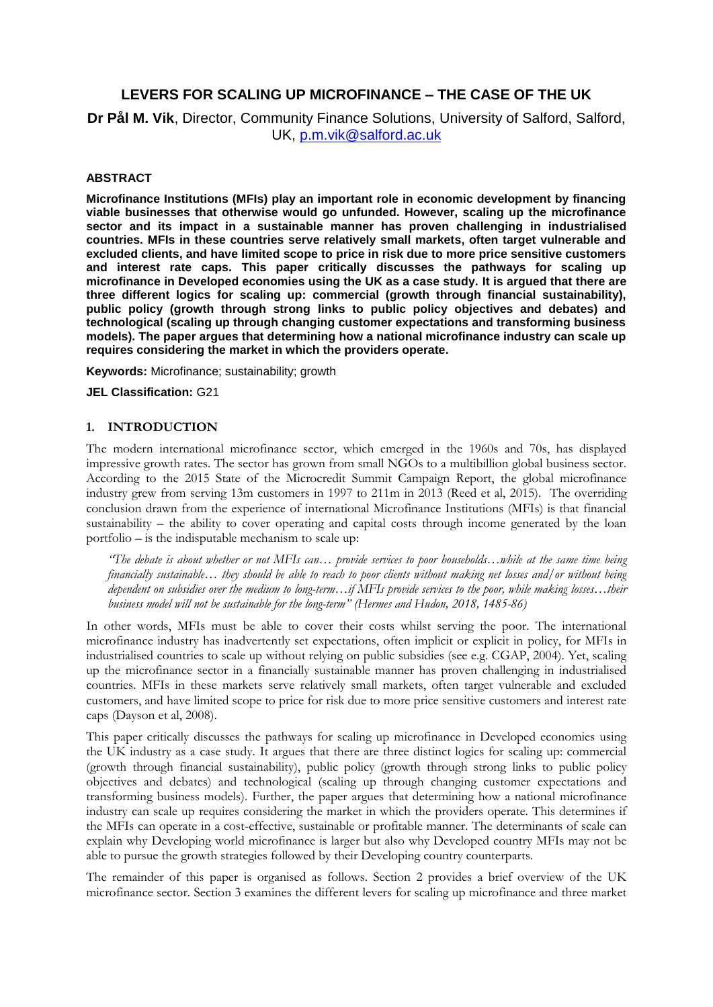# **LEVERS FOR SCALING UP MICROFINANCE – THE CASE OF THE UK**

**Dr Pål M. Vik**, Director, Community Finance Solutions, University of Salford, Salford, UK, [p.m.vik@salford.ac.uk](mailto:p.m.vik@salford.ac.uk)

#### **ABSTRACT**

**Microfinance Institutions (MFIs) play an important role in economic development by financing viable businesses that otherwise would go unfunded. However, scaling up the microfinance sector and its impact in a sustainable manner has proven challenging in industrialised countries. MFIs in these countries serve relatively small markets, often target vulnerable and excluded clients, and have limited scope to price in risk due to more price sensitive customers and interest rate caps. This paper critically discusses the pathways for scaling up microfinance in Developed economies using the UK as a case study. It is argued that there are three different logics for scaling up: commercial (growth through financial sustainability), public policy (growth through strong links to public policy objectives and debates) and technological (scaling up through changing customer expectations and transforming business models). The paper argues that determining how a national microfinance industry can scale up requires considering the market in which the providers operate.**

**Keywords:** Microfinance; sustainability; growth

**JEL Classification:** G21

#### **1. INTRODUCTION**

The modern international microfinance sector, which emerged in the 1960s and 70s, has displayed impressive growth rates. The sector has grown from small NGOs to a multibillion global business sector. According to the 2015 State of the Microcredit Summit Campaign Report, the global microfinance industry grew from serving 13m customers in 1997 to 211m in 2013 (Reed et al, 2015). The overriding conclusion drawn from the experience of international Microfinance Institutions (MFIs) is that financial sustainability – the ability to cover operating and capital costs through income generated by the loan portfolio – is the indisputable mechanism to scale up:

*"The debate is about whether or not MFIs can… provide services to poor households…while at the same time being financially sustainable… they should be able to reach to poor clients without making net losses and/or without being dependent on subsidies over the medium to long-term…if MFIs provide services to the poor, while making losses…their business model will not be sustainable for the long-term" (Hermes and Hudon, 2018, 1485-86)*

In other words, MFIs must be able to cover their costs whilst serving the poor. The international microfinance industry has inadvertently set expectations, often implicit or explicit in policy, for MFIs in industrialised countries to scale up without relying on public subsidies (see e.g. CGAP, 2004). Yet, scaling up the microfinance sector in a financially sustainable manner has proven challenging in industrialised countries. MFIs in these markets serve relatively small markets, often target vulnerable and excluded customers, and have limited scope to price for risk due to more price sensitive customers and interest rate caps (Dayson et al, 2008).

This paper critically discusses the pathways for scaling up microfinance in Developed economies using the UK industry as a case study. It argues that there are three distinct logics for scaling up: commercial (growth through financial sustainability), public policy (growth through strong links to public policy objectives and debates) and technological (scaling up through changing customer expectations and transforming business models). Further, the paper argues that determining how a national microfinance industry can scale up requires considering the market in which the providers operate. This determines if the MFIs can operate in a cost-effective, sustainable or profitable manner. The determinants of scale can explain why Developing world microfinance is larger but also why Developed country MFIs may not be able to pursue the growth strategies followed by their Developing country counterparts.

The remainder of this paper is organised as follows. Section 2 provides a brief overview of the UK microfinance sector. Section 3 examines the different levers for scaling up microfinance and three market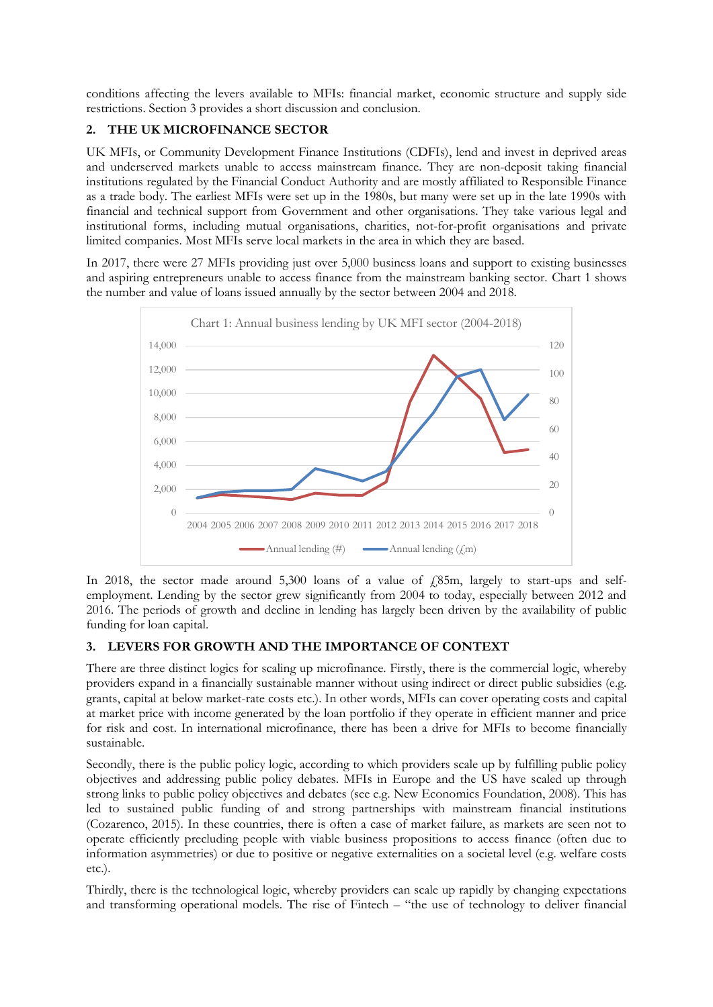conditions affecting the levers available to MFIs: financial market, economic structure and supply side restrictions. Section 3 provides a short discussion and conclusion.

## **2. THE UK MICROFINANCE SECTOR**

UK MFIs, or Community Development Finance Institutions (CDFIs), lend and invest in deprived areas and underserved markets unable to access mainstream finance. They are non-deposit taking financial institutions regulated by the Financial Conduct Authority and are mostly affiliated to Responsible Finance as a trade body. The earliest MFIs were set up in the 1980s, but many were set up in the late 1990s with financial and technical support from Government and other organisations. They take various legal and institutional forms, including mutual organisations, charities, not-for-profit organisations and private limited companies. Most MFIs serve local markets in the area in which they are based.

In 2017, there were 27 MFIs providing just over 5,000 business loans and support to existing businesses and aspiring entrepreneurs unable to access finance from the mainstream banking sector. Chart 1 shows the number and value of loans issued annually by the sector between 2004 and 2018.



In 2018, the sector made around 5,300 loans of a value of  $£85m$ , largely to start-ups and selfemployment. Lending by the sector grew significantly from 2004 to today, especially between 2012 and 2016. The periods of growth and decline in lending has largely been driven by the availability of public funding for loan capital.

# **3. LEVERS FOR GROWTH AND THE IMPORTANCE OF CONTEXT**

There are three distinct logics for scaling up microfinance. Firstly, there is the commercial logic, whereby providers expand in a financially sustainable manner without using indirect or direct public subsidies (e.g. grants, capital at below market-rate costs etc.). In other words, MFIs can cover operating costs and capital at market price with income generated by the loan portfolio if they operate in efficient manner and price for risk and cost. In international microfinance, there has been a drive for MFIs to become financially sustainable.

Secondly, there is the public policy logic, according to which providers scale up by fulfilling public policy objectives and addressing public policy debates. MFIs in Europe and the US have scaled up through strong links to public policy objectives and debates (see e.g. New Economics Foundation, 2008). This has led to sustained public funding of and strong partnerships with mainstream financial institutions (Cozarenco, 2015). In these countries, there is often a case of market failure, as markets are seen not to operate efficiently precluding people with viable business propositions to access finance (often due to information asymmetries) or due to positive or negative externalities on a societal level (e.g. welfare costs etc.).

Thirdly, there is the technological logic, whereby providers can scale up rapidly by changing expectations and transforming operational models. The rise of Fintech – "the use of technology to deliver financial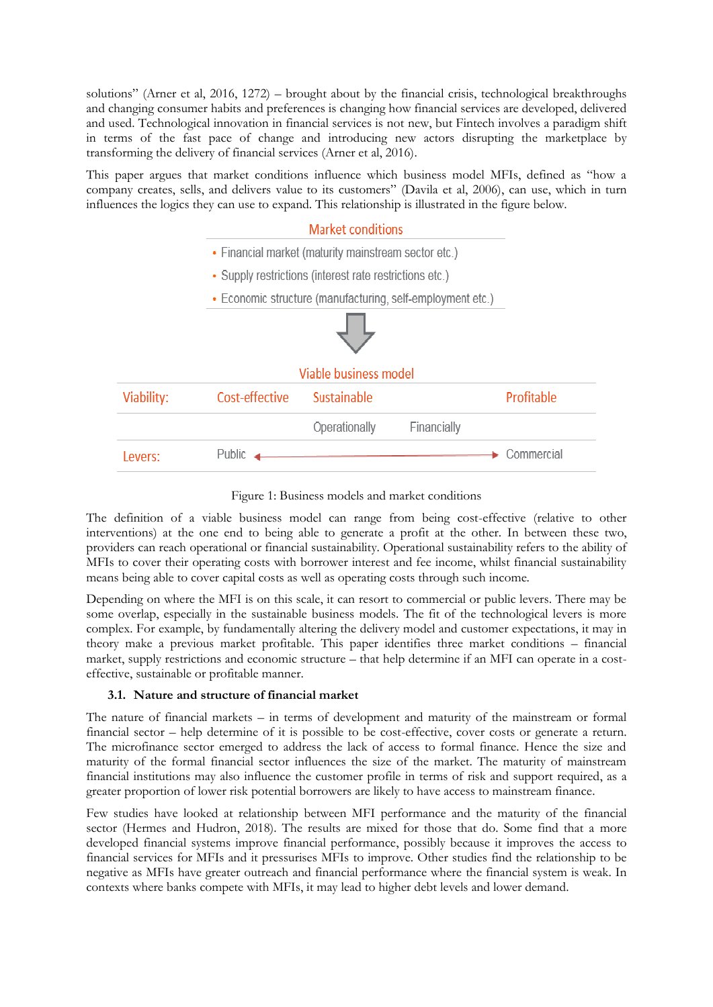solutions" (Arner et al, 2016, 1272) – brought about by the financial crisis, technological breakthroughs and changing consumer habits and preferences is changing how financial services are developed, delivered and used. Technological innovation in financial services is not new, but Fintech involves a paradigm shift in terms of the fast pace of change and introducing new actors disrupting the marketplace by transforming the delivery of financial services (Arner et al, 2016).

This paper argues that market conditions influence which business model MFIs, defined as "how a company creates, sells, and delivers value to its customers" (Davila et al, 2006), can use, which in turn influences the logics they can use to expand. This relationship is illustrated in the figure below.



Figure 1: Business models and market conditions

The definition of a viable business model can range from being cost-effective (relative to other interventions) at the one end to being able to generate a profit at the other. In between these two, providers can reach operational or financial sustainability. Operational sustainability refers to the ability of MFIs to cover their operating costs with borrower interest and fee income, whilst financial sustainability means being able to cover capital costs as well as operating costs through such income.

Depending on where the MFI is on this scale, it can resort to commercial or public levers. There may be some overlap, especially in the sustainable business models. The fit of the technological levers is more complex. For example, by fundamentally altering the delivery model and customer expectations, it may in theory make a previous market profitable. This paper identifies three market conditions – financial market, supply restrictions and economic structure – that help determine if an MFI can operate in a costeffective, sustainable or profitable manner.

# **3.1. Nature and structure of financial market**

The nature of financial markets – in terms of development and maturity of the mainstream or formal financial sector – help determine of it is possible to be cost-effective, cover costs or generate a return. The microfinance sector emerged to address the lack of access to formal finance. Hence the size and maturity of the formal financial sector influences the size of the market. The maturity of mainstream financial institutions may also influence the customer profile in terms of risk and support required, as a greater proportion of lower risk potential borrowers are likely to have access to mainstream finance.

Few studies have looked at relationship between MFI performance and the maturity of the financial sector (Hermes and Hudron, 2018). The results are mixed for those that do. Some find that a more developed financial systems improve financial performance, possibly because it improves the access to financial services for MFIs and it pressurises MFIs to improve. Other studies find the relationship to be negative as MFIs have greater outreach and financial performance where the financial system is weak. In contexts where banks compete with MFIs, it may lead to higher debt levels and lower demand.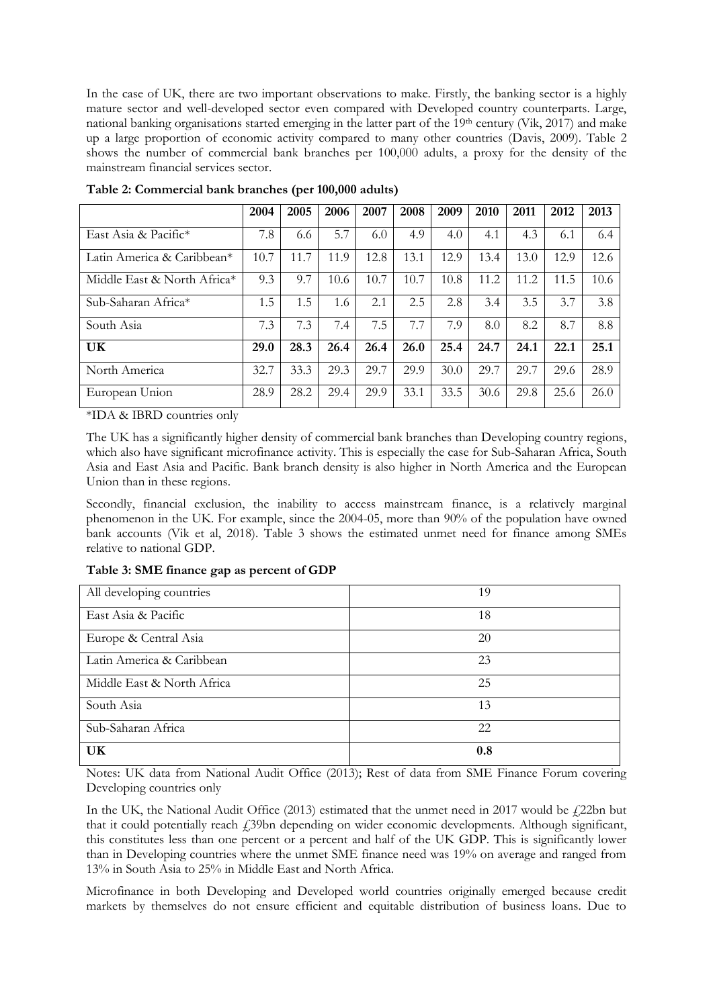In the case of UK, there are two important observations to make. Firstly, the banking sector is a highly mature sector and well-developed sector even compared with Developed country counterparts. Large, national banking organisations started emerging in the latter part of the 19th century (Vik, 2017) and make up a large proportion of economic activity compared to many other countries (Davis, 2009). Table 2 shows the number of commercial bank branches per 100,000 adults, a proxy for the density of the mainstream financial services sector.

|                                        | 2004 | 2005 | 2006 | 2007 | 2008 | 2009 | 2010 | 2011 | 2012 | 2013 |
|----------------------------------------|------|------|------|------|------|------|------|------|------|------|
| East Asia & Pacific*                   | 7.8  | 6.6  | 5.7  | 6.0  | 4.9  | 4.0  | 4.1  | 4.3  | 6.1  | 6.4  |
| Latin America & Caribbean <sup>*</sup> | 10.7 | 11.7 | 11.9 | 12.8 | 13.1 | 12.9 | 13.4 | 13.0 | 12.9 | 12.6 |
| Middle East & North Africa*            | 9.3  | 9.7  | 10.6 | 10.7 | 10.7 | 10.8 | 11.2 | 11.2 | 11.5 | 10.6 |
| Sub-Saharan Africa*                    | 1.5  | 1.5  | 1.6  | 2.1  | 2.5  | 2.8  | 3.4  | 3.5  | 3.7  | 3.8  |
| South Asia                             | 7.3  | 7.3  | 7.4  | 7.5  | 7.7  | 7.9  | 8.0  | 8.2  | 8.7  | 8.8  |
| UK                                     | 29.0 | 28.3 | 26.4 | 26.4 | 26.0 | 25.4 | 24.7 | 24.1 | 22.1 | 25.1 |
| North America                          | 32.7 | 33.3 | 29.3 | 29.7 | 29.9 | 30.0 | 29.7 | 29.7 | 29.6 | 28.9 |
| European Union                         | 28.9 | 28.2 | 29.4 | 29.9 | 33.1 | 33.5 | 30.6 | 29.8 | 25.6 | 26.0 |

**Table 2: Commercial bank branches (per 100,000 adults)**

\*IDA & IBRD countries only

The UK has a significantly higher density of commercial bank branches than Developing country regions, which also have significant microfinance activity. This is especially the case for Sub-Saharan Africa, South Asia and East Asia and Pacific. Bank branch density is also higher in North America and the European Union than in these regions.

Secondly, financial exclusion, the inability to access mainstream finance, is a relatively marginal phenomenon in the UK. For example, since the 2004-05, more than 90% of the population have owned bank accounts (Vik et al, 2018). Table 3 shows the estimated unmet need for finance among SMEs relative to national GDP.

**Table 3: SME finance gap as percent of GDP**

| All developing countries   | 19  |
|----------------------------|-----|
| East Asia & Pacific        | 18  |
| Europe & Central Asia      | 20  |
| Latin America & Caribbean  | 23  |
| Middle East & North Africa | 25  |
| South Asia                 | 13  |
| Sub-Saharan Africa         | 22  |
| UK                         | 0.8 |

Notes: UK data from National Audit Office (2013); Rest of data from SME Finance Forum covering Developing countries only

In the UK, the National Audit Office (2013) estimated that the unmet need in 2017 would be  $\frac{1}{2}$ 2bn but that it could potentially reach  $\ddot{1}39$ bn depending on wider economic developments. Although significant, this constitutes less than one percent or a percent and half of the UK GDP. This is significantly lower than in Developing countries where the unmet SME finance need was 19% on average and ranged from 13% in South Asia to 25% in Middle East and North Africa.

Microfinance in both Developing and Developed world countries originally emerged because credit markets by themselves do not ensure efficient and equitable distribution of business loans. Due to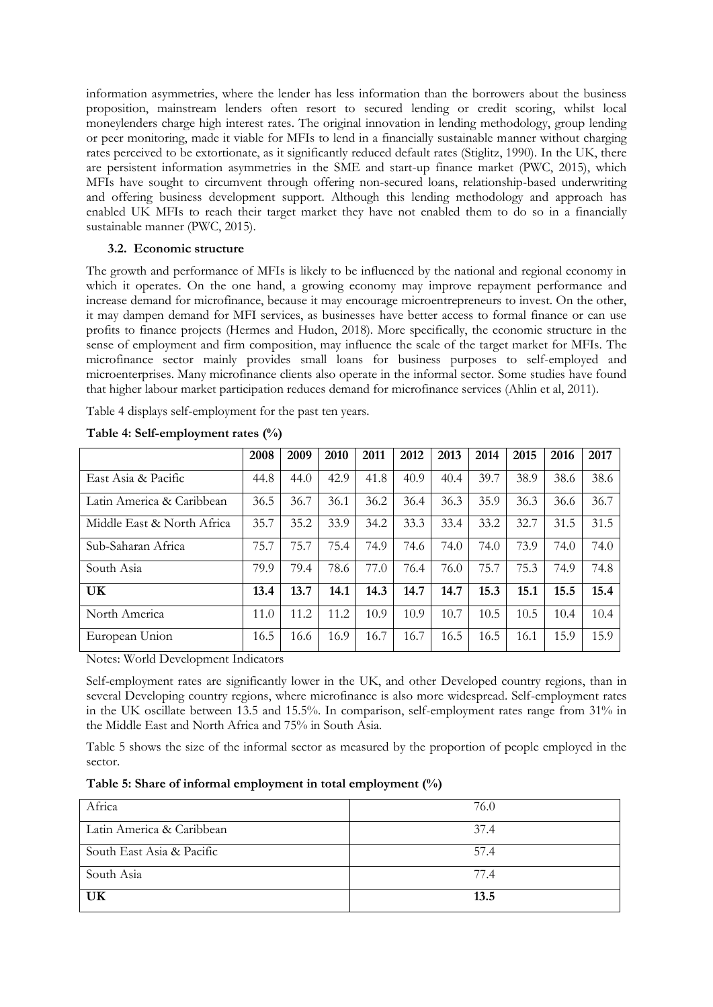information asymmetries, where the lender has less information than the borrowers about the business proposition, mainstream lenders often resort to secured lending or credit scoring, whilst local moneylenders charge high interest rates. The original innovation in lending methodology, group lending or peer monitoring, made it viable for MFIs to lend in a financially sustainable manner without charging rates perceived to be extortionate, as it significantly reduced default rates (Stiglitz, 1990). In the UK, there are persistent information asymmetries in the SME and start-up finance market (PWC, 2015), which MFIs have sought to circumvent through offering non-secured loans, relationship-based underwriting and offering business development support. Although this lending methodology and approach has enabled UK MFIs to reach their target market they have not enabled them to do so in a financially sustainable manner (PWC, 2015).

#### **3.2. Economic structure**

The growth and performance of MFIs is likely to be influenced by the national and regional economy in which it operates. On the one hand, a growing economy may improve repayment performance and increase demand for microfinance, because it may encourage microentrepreneurs to invest. On the other, it may dampen demand for MFI services, as businesses have better access to formal finance or can use profits to finance projects (Hermes and Hudon, 2018). More specifically, the economic structure in the sense of employment and firm composition, may influence the scale of the target market for MFIs. The microfinance sector mainly provides small loans for business purposes to self-employed and microenterprises. Many microfinance clients also operate in the informal sector. Some studies have found that higher labour market participation reduces demand for microfinance services (Ahlin et al, 2011).

Table 4 displays self-employment for the past ten years.

|                            | 2008 | 2009 | 2010 | 2011 | 2012 | 2013 | 2014 | 2015 | 2016 | 2017 |
|----------------------------|------|------|------|------|------|------|------|------|------|------|
| East Asia & Pacific        | 44.8 | 44.0 | 42.9 | 41.8 | 40.9 | 40.4 | 39.7 | 38.9 | 38.6 | 38.6 |
| Latin America & Caribbean  | 36.5 | 36.7 | 36.1 | 36.2 | 36.4 | 36.3 | 35.9 | 36.3 | 36.6 | 36.7 |
| Middle East & North Africa | 35.7 | 35.2 | 33.9 | 34.2 | 33.3 | 33.4 | 33.2 | 32.7 | 31.5 | 31.5 |
| Sub-Saharan Africa         | 75.7 | 75.7 | 75.4 | 74.9 | 74.6 | 74.0 | 74.0 | 73.9 | 74.0 | 74.0 |
| South Asia                 | 79.9 | 79.4 | 78.6 | 77.0 | 76.4 | 76.0 | 75.7 | 75.3 | 74.9 | 74.8 |
| UK                         | 13.4 | 13.7 | 14.1 | 14.3 | 14.7 | 14.7 | 15.3 | 15.1 | 15.5 | 15.4 |
| North America              | 11.0 | 11.2 | 11.2 | 10.9 | 10.9 | 10.7 | 10.5 | 10.5 | 10.4 | 10.4 |
| European Union             | 16.5 | 16.6 | 16.9 | 16.7 | 16.7 | 16.5 | 16.5 | 16.1 | 15.9 | 15.9 |

**Table 4: Self-employment rates (%)**

Notes: World Development Indicators

Self-employment rates are significantly lower in the UK, and other Developed country regions, than in several Developing country regions, where microfinance is also more widespread. Self-employment rates in the UK oscillate between 13.5 and 15.5%. In comparison, self-employment rates range from 31% in the Middle East and North Africa and 75% in South Asia.

Table 5 shows the size of the informal sector as measured by the proportion of people employed in the sector.

|  |  |  | Table 5: Share of informal employment in total employment $(\%)$ |  |
|--|--|--|------------------------------------------------------------------|--|
|--|--|--|------------------------------------------------------------------|--|

| Africa                    | 76.0 |
|---------------------------|------|
| Latin America & Caribbean | 37.4 |
| South East Asia & Pacific | 57.4 |
| South Asia                | 77.4 |
| UK                        | 13.5 |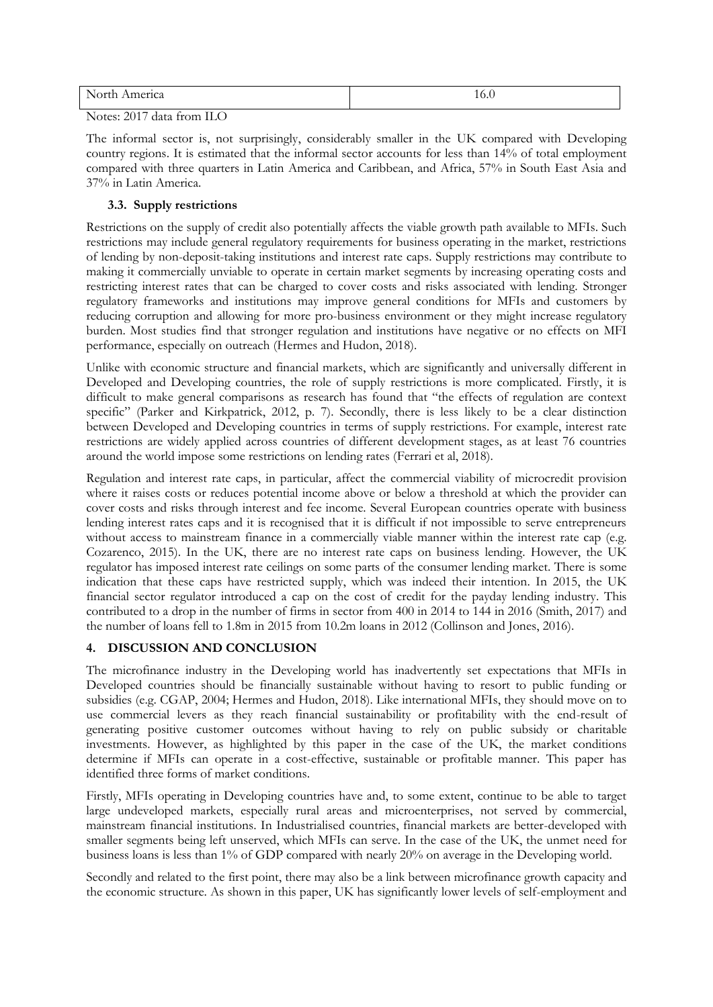| $N$ <sub>Orth</sub><br>merica<br><b>.</b><br>-- |  |
|-------------------------------------------------|--|
| ____<br>-                                       |  |

Notes: 2017 data from ILO

The informal sector is, not surprisingly, considerably smaller in the UK compared with Developing country regions. It is estimated that the informal sector accounts for less than 14% of total employment compared with three quarters in Latin America and Caribbean, and Africa, 57% in South East Asia and 37% in Latin America.

## **3.3. Supply restrictions**

Restrictions on the supply of credit also potentially affects the viable growth path available to MFIs. Such restrictions may include general regulatory requirements for business operating in the market, restrictions of lending by non-deposit-taking institutions and interest rate caps. Supply restrictions may contribute to making it commercially unviable to operate in certain market segments by increasing operating costs and restricting interest rates that can be charged to cover costs and risks associated with lending. Stronger regulatory frameworks and institutions may improve general conditions for MFIs and customers by reducing corruption and allowing for more pro-business environment or they might increase regulatory burden. Most studies find that stronger regulation and institutions have negative or no effects on MFI performance, especially on outreach (Hermes and Hudon, 2018).

Unlike with economic structure and financial markets, which are significantly and universally different in Developed and Developing countries, the role of supply restrictions is more complicated. Firstly, it is difficult to make general comparisons as research has found that "the effects of regulation are context specific" (Parker and Kirkpatrick, 2012, p. 7). Secondly, there is less likely to be a clear distinction between Developed and Developing countries in terms of supply restrictions. For example, interest rate restrictions are widely applied across countries of different development stages, as at least 76 countries around the world impose some restrictions on lending rates (Ferrari et al, 2018).

Regulation and interest rate caps, in particular, affect the commercial viability of microcredit provision where it raises costs or reduces potential income above or below a threshold at which the provider can cover costs and risks through interest and fee income. Several European countries operate with business lending interest rates caps and it is recognised that it is difficult if not impossible to serve entrepreneurs without access to mainstream finance in a commercially viable manner within the interest rate cap (e.g. Cozarenco, 2015). In the UK, there are no interest rate caps on business lending. However, the UK regulator has imposed interest rate ceilings on some parts of the consumer lending market. There is some indication that these caps have restricted supply, which was indeed their intention. In 2015, the UK financial sector regulator introduced a cap on the cost of credit for the payday lending industry. This contributed to a drop in the number of firms in sector from 400 in 2014 to 144 in 2016 (Smith, 2017) and the number of loans fell to 1.8m in 2015 from 10.2m loans in 2012 (Collinson and Jones, 2016).

#### **4. DISCUSSION AND CONCLUSION**

The microfinance industry in the Developing world has inadvertently set expectations that MFIs in Developed countries should be financially sustainable without having to resort to public funding or subsidies (e.g. CGAP, 2004; Hermes and Hudon, 2018). Like international MFIs, they should move on to use commercial levers as they reach financial sustainability or profitability with the end-result of generating positive customer outcomes without having to rely on public subsidy or charitable investments. However, as highlighted by this paper in the case of the UK, the market conditions determine if MFIs can operate in a cost-effective, sustainable or profitable manner. This paper has identified three forms of market conditions.

Firstly, MFIs operating in Developing countries have and, to some extent, continue to be able to target large undeveloped markets, especially rural areas and microenterprises, not served by commercial, mainstream financial institutions. In Industrialised countries, financial markets are better-developed with smaller segments being left unserved, which MFIs can serve. In the case of the UK, the unmet need for business loans is less than 1% of GDP compared with nearly 20% on average in the Developing world.

Secondly and related to the first point, there may also be a link between microfinance growth capacity and the economic structure. As shown in this paper, UK has significantly lower levels of self-employment and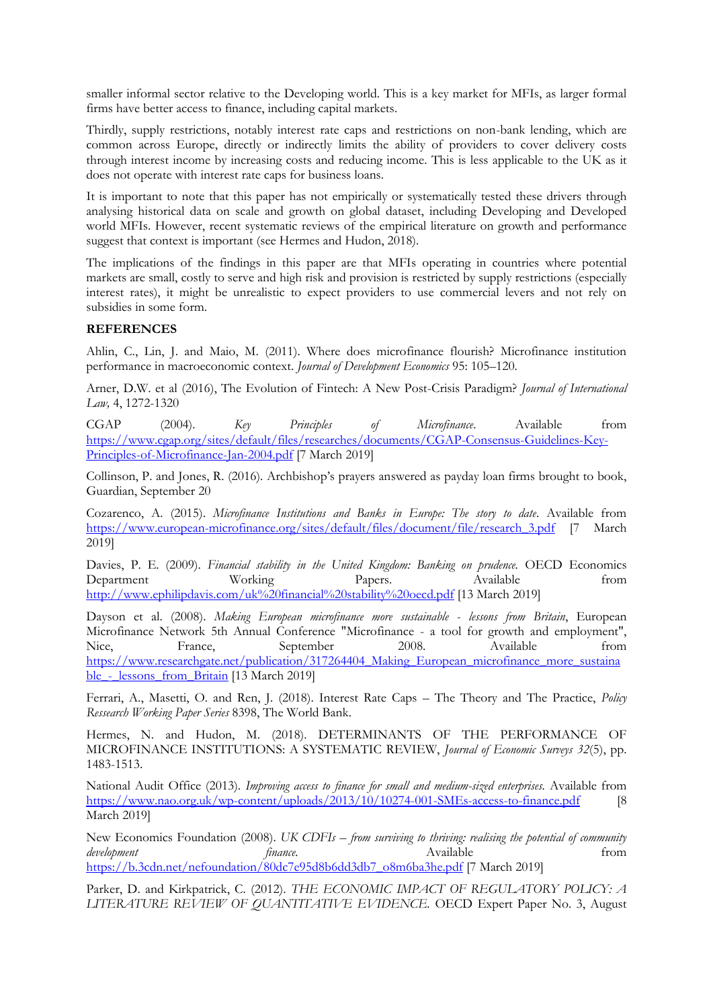smaller informal sector relative to the Developing world. This is a key market for MFIs, as larger formal firms have better access to finance, including capital markets.

Thirdly, supply restrictions, notably interest rate caps and restrictions on non-bank lending, which are common across Europe, directly or indirectly limits the ability of providers to cover delivery costs through interest income by increasing costs and reducing income. This is less applicable to the UK as it does not operate with interest rate caps for business loans.

It is important to note that this paper has not empirically or systematically tested these drivers through analysing historical data on scale and growth on global dataset, including Developing and Developed world MFIs. However, recent systematic reviews of the empirical literature on growth and performance suggest that context is important (see Hermes and Hudon, 2018).

The implications of the findings in this paper are that MFIs operating in countries where potential markets are small, costly to serve and high risk and provision is restricted by supply restrictions (especially interest rates), it might be unrealistic to expect providers to use commercial levers and not rely on subsidies in some form.

#### **REFERENCES**

Ahlin, C., Lin, J. and Maio, M. (2011). Where does microfinance flourish? Microfinance institution performance in macroeconomic context. *Journal of Development Economics* 95: 105–120.

Arner, D.W. et al (2016), The Evolution of Fintech: A New Post-Crisis Paradigm? *Journal of International Law,* 4, 1272-1320

CGAP (2004). *Key Principles of Microfinance*. Available from [https://www.cgap.org/sites/default/files/researches/documents/CGAP-Consensus-Guidelines-Key-](https://www.cgap.org/sites/default/files/researches/documents/CGAP-Consensus-Guidelines-Key-Principles-of-Microfinance-Jan-2004.pdf)[Principles-of-Microfinance-Jan-2004.pdf](https://www.cgap.org/sites/default/files/researches/documents/CGAP-Consensus-Guidelines-Key-Principles-of-Microfinance-Jan-2004.pdf) [7 March 2019]

Collinson, P. and Jones, R. (2016). Archbishop's prayers answered as payday loan firms brought to book, Guardian, September 20

Cozarenco, A. (2015). *Microfinance Institutions and Banks in Europe: The story to date*. Available from [https://www.european-microfinance.org/sites/default/files/document/file/research\\_3.pdf](https://www.european-microfinance.org/sites/default/files/document/file/research_3.pdf) [7 March 2019]

Davies, P. E. (2009). *Financial stability in the United Kingdom: Banking on prudence.* OECD Economics Department Working Papers. Available from <http://www.ephilipdavis.com/uk%20financial%20stability%20oecd.pdf> [13 March 2019]

Dayson et al. (2008). *Making European microfinance more sustainable - lessons from Britain*, European Microfinance Network 5th Annual Conference "Microfinance - a tool for growth and employment", Nice, France, September 2008. Available from https://www.researchgate.net/publication/317264404 Making European microfinance more sustaina ble - lessons from Britain [13 March 2019]

Ferrari, A., Masetti, O. and Ren, J. (2018). Interest Rate Caps – The Theory and The Practice, *Policy Ressearch Working Paper Series* 8398, The World Bank.

Hermes, N. and Hudon, M. (2018). DETERMINANTS OF THE PERFORMANCE OF MICROFINANCE INSTITUTIONS: A SYSTEMATIC REVIEW, *Journal of Economic Surveys 32*(5), pp. 1483-1513.

National Audit Office (2013). *Improving access to finance for small and medium-sized enterprises.* Available from <https://www.nao.org.uk/wp-content/uploads/2013/10/10274-001-SMEs-access-to-finance.pdf> [8 March 2019]

New Economics Foundation (2008). *UK CDFIs – from surviving to thriving: realising the potential of community development* finance. The subset of the set of the set of the set of the set of the set of the set of the set of the set of the set of the set of the set of the set of the set of the set of the set of the set of the set o [https://b.3cdn.net/nefoundation/80dc7e95d8b6dd3db7\\_o8m6ba3he.pdf](https://b.3cdn.net/nefoundation/80dc7e95d8b6dd3db7_o8m6ba3he.pdf) [7 March 2019]

Parker, D. and Kirkpatrick, C. (2012). *THE ECONOMIC IMPACT OF REGULATORY POLICY: A LITERATURE REVIEW OF QUANTITATIVE EVIDENCE.* OECD Expert Paper No. 3, August